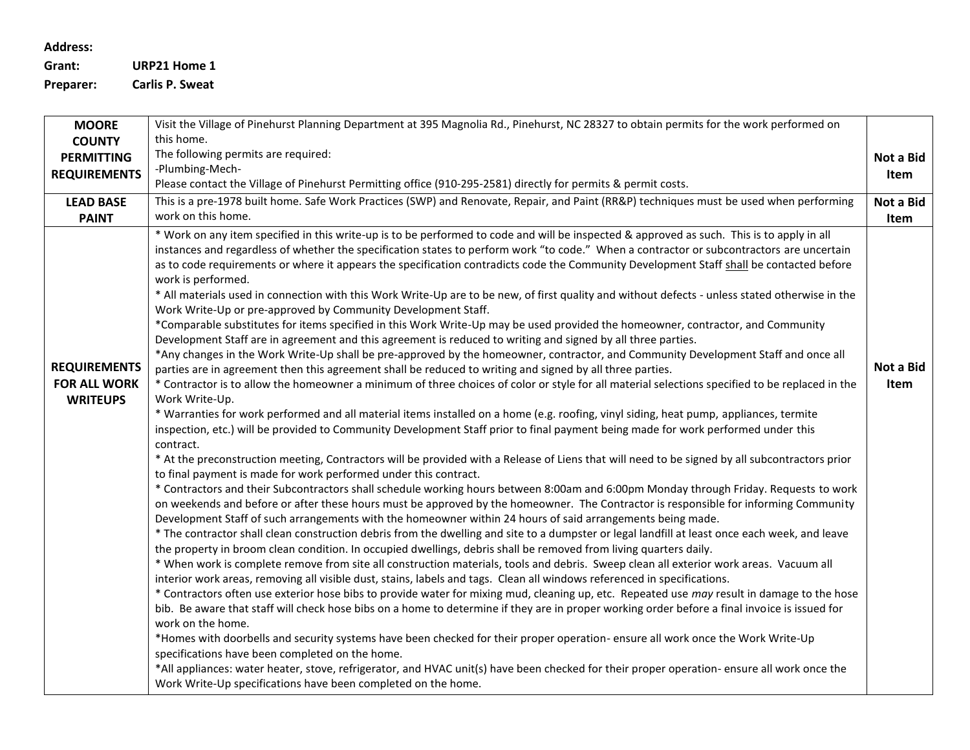## **Address:**

**Grant: URP21 Home 1 Preparer: Carlis P. Sweat**

**MOORE COUNTY PERMITTING REQUIREMENTS** Visit the Village of Pinehurst Planning Department at 395 Magnolia Rd., Pinehurst, NC 28327 to obtain permits for the work performed on this home. The following permits are required: -Plumbing-Mech-Please contact the Village of Pinehurst Permitting office (910-295-2581) directly for permits & permit costs. **Not a Bid Item LEAD BASE PAINT** This is a pre-1978 built home. Safe Work Practices (SWP) and Renovate, Repair, and Paint (RR&P) techniques must be used when performing work on this home. **Not a Bid Item REQUIREMENTS FOR ALL WORK WRITEUPS** \* Work on any item specified in this write-up is to be performed to code and will be inspected & approved as such. This is to apply in all instances and regardless of whether the specification states to perform work "to code." When a contractor or subcontractors are uncertain as to code requirements or where it appears the specification contradicts code the Community Development Staff shall be contacted before work is performed. \* All materials used in connection with this Work Write-Up are to be new, of first quality and without defects - unless stated otherwise in the Work Write-Up or pre-approved by Community Development Staff. \*Comparable substitutes for items specified in this Work Write-Up may be used provided the homeowner, contractor, and Community Development Staff are in agreement and this agreement is reduced to writing and signed by all three parties. \*Any changes in the Work Write-Up shall be pre-approved by the homeowner, contractor, and Community Development Staff and once all parties are in agreement then this agreement shall be reduced to writing and signed by all three parties. \* Contractor is to allow the homeowner a minimum of three choices of color or style for all material selections specified to be replaced in the Work Write-Up. \* Warranties for work performed and all material items installed on a home (e.g. roofing, vinyl siding, heat pump, appliances, termite inspection, etc.) will be provided to Community Development Staff prior to final payment being made for work performed under this contract. \* At the preconstruction meeting, Contractors will be provided with a Release of Liens that will need to be signed by all subcontractors prior to final payment is made for work performed under this contract. \* Contractors and their Subcontractors shall schedule working hours between 8:00am and 6:00pm Monday through Friday. Requests to work on weekends and before or after these hours must be approved by the homeowner. The Contractor is responsible for informing Community Development Staff of such arrangements with the homeowner within 24 hours of said arrangements being made. \* The contractor shall clean construction debris from the dwelling and site to a dumpster or legal landfill at least once each week, and leave the property in broom clean condition. In occupied dwellings, debris shall be removed from living quarters daily. \* When work is complete remove from site all construction materials, tools and debris. Sweep clean all exterior work areas. Vacuum all interior work areas, removing all visible dust, stains, labels and tags. Clean all windows referenced in specifications. \* Contractors often use exterior hose bibs to provide water for mixing mud, cleaning up, etc. Repeated use *may* result in damage to the hose bib. Be aware that staff will check hose bibs on a home to determine if they are in proper working order before a final invoice is issued for work on the home. \*Homes with doorbells and security systems have been checked for their proper operation- ensure all work once the Work Write-Up specifications have been completed on the home. \*All appliances: water heater, stove, refrigerator, and HVAC unit(s) have been checked for their proper operation- ensure all work once the Work Write-Up specifications have been completed on the home. **Not a Bid Item**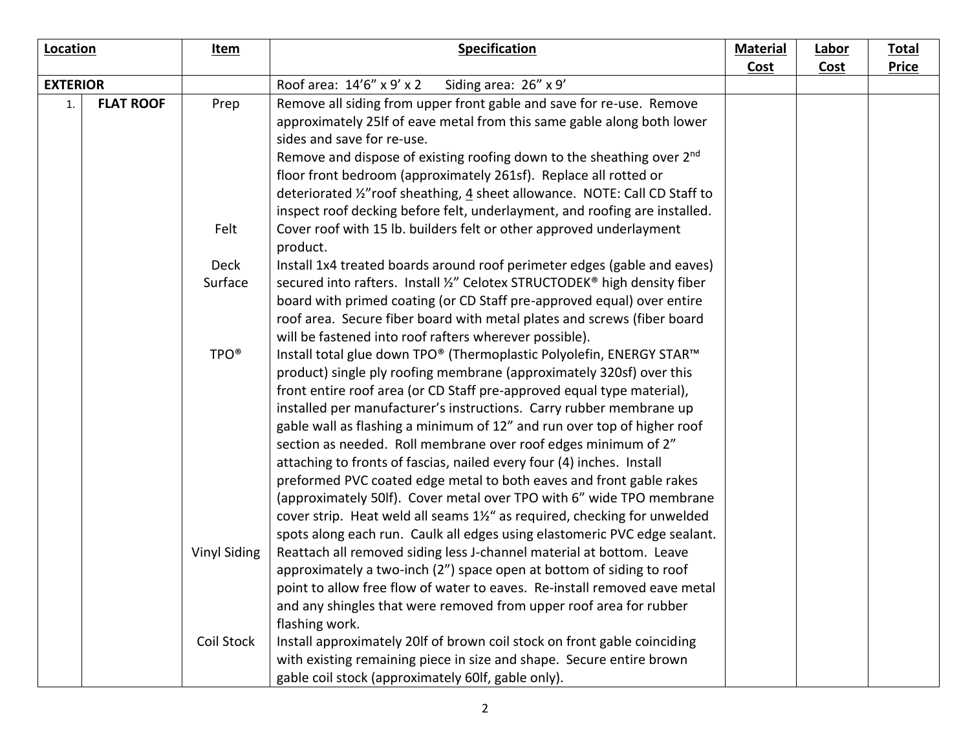| Location                           |  | Item                | <b>Specification</b>                                                               | <b>Material</b><br><b>Cost</b> | <b>Labor</b><br><b>Cost</b> | <b>Total</b><br><b>Price</b> |
|------------------------------------|--|---------------------|------------------------------------------------------------------------------------|--------------------------------|-----------------------------|------------------------------|
| <b>EXTERIOR</b>                    |  |                     | Roof area: 14'6" x 9' x 2<br>Siding area: 26" x 9'                                 |                                |                             |                              |
| <b>FLAT ROOF</b><br>$\mathbf{1}$ . |  | Prep                | Remove all siding from upper front gable and save for re-use. Remove               |                                |                             |                              |
|                                    |  |                     | approximately 25If of eave metal from this same gable along both lower             |                                |                             |                              |
|                                    |  |                     | sides and save for re-use.                                                         |                                |                             |                              |
|                                    |  |                     | Remove and dispose of existing roofing down to the sheathing over 2 <sup>nd</sup>  |                                |                             |                              |
|                                    |  |                     | floor front bedroom (approximately 261sf). Replace all rotted or                   |                                |                             |                              |
|                                    |  |                     | deteriorated 1/2" roof sheathing, 4 sheet allowance. NOTE: Call CD Staff to        |                                |                             |                              |
|                                    |  |                     | inspect roof decking before felt, underlayment, and roofing are installed.         |                                |                             |                              |
|                                    |  | Felt                | Cover roof with 15 lb. builders felt or other approved underlayment                |                                |                             |                              |
|                                    |  |                     | product.                                                                           |                                |                             |                              |
|                                    |  | <b>Deck</b>         | Install 1x4 treated boards around roof perimeter edges (gable and eaves)           |                                |                             |                              |
|                                    |  | Surface             | secured into rafters. Install %" Celotex STRUCTODEK® high density fiber            |                                |                             |                              |
|                                    |  |                     | board with primed coating (or CD Staff pre-approved equal) over entire             |                                |                             |                              |
|                                    |  |                     | roof area. Secure fiber board with metal plates and screws (fiber board            |                                |                             |                              |
|                                    |  |                     | will be fastened into roof rafters wherever possible).                             |                                |                             |                              |
|                                    |  | TPO <sup>®</sup>    | Install total glue down TPO® (Thermoplastic Polyolefin, ENERGY STAR™               |                                |                             |                              |
|                                    |  |                     | product) single ply roofing membrane (approximately 320sf) over this               |                                |                             |                              |
|                                    |  |                     | front entire roof area (or CD Staff pre-approved equal type material),             |                                |                             |                              |
|                                    |  |                     | installed per manufacturer's instructions. Carry rubber membrane up                |                                |                             |                              |
|                                    |  |                     | gable wall as flashing a minimum of 12" and run over top of higher roof            |                                |                             |                              |
|                                    |  |                     | section as needed. Roll membrane over roof edges minimum of 2"                     |                                |                             |                              |
|                                    |  |                     | attaching to fronts of fascias, nailed every four (4) inches. Install              |                                |                             |                              |
|                                    |  |                     | preformed PVC coated edge metal to both eaves and front gable rakes                |                                |                             |                              |
|                                    |  |                     | (approximately 50lf). Cover metal over TPO with 6" wide TPO membrane               |                                |                             |                              |
|                                    |  |                     | cover strip. Heat weld all seams $1\frac{1}{2}$ as required, checking for unwelded |                                |                             |                              |
|                                    |  |                     | spots along each run. Caulk all edges using elastomeric PVC edge sealant.          |                                |                             |                              |
|                                    |  | <b>Vinyl Siding</b> | Reattach all removed siding less J-channel material at bottom. Leave               |                                |                             |                              |
|                                    |  |                     | approximately a two-inch (2") space open at bottom of siding to roof               |                                |                             |                              |
|                                    |  |                     | point to allow free flow of water to eaves. Re-install removed eave metal          |                                |                             |                              |
|                                    |  |                     | and any shingles that were removed from upper roof area for rubber                 |                                |                             |                              |
|                                    |  |                     | flashing work.                                                                     |                                |                             |                              |
|                                    |  | Coil Stock          | Install approximately 20If of brown coil stock on front gable coinciding           |                                |                             |                              |
|                                    |  |                     | with existing remaining piece in size and shape. Secure entire brown               |                                |                             |                              |
|                                    |  |                     | gable coil stock (approximately 60lf, gable only).                                 |                                |                             |                              |